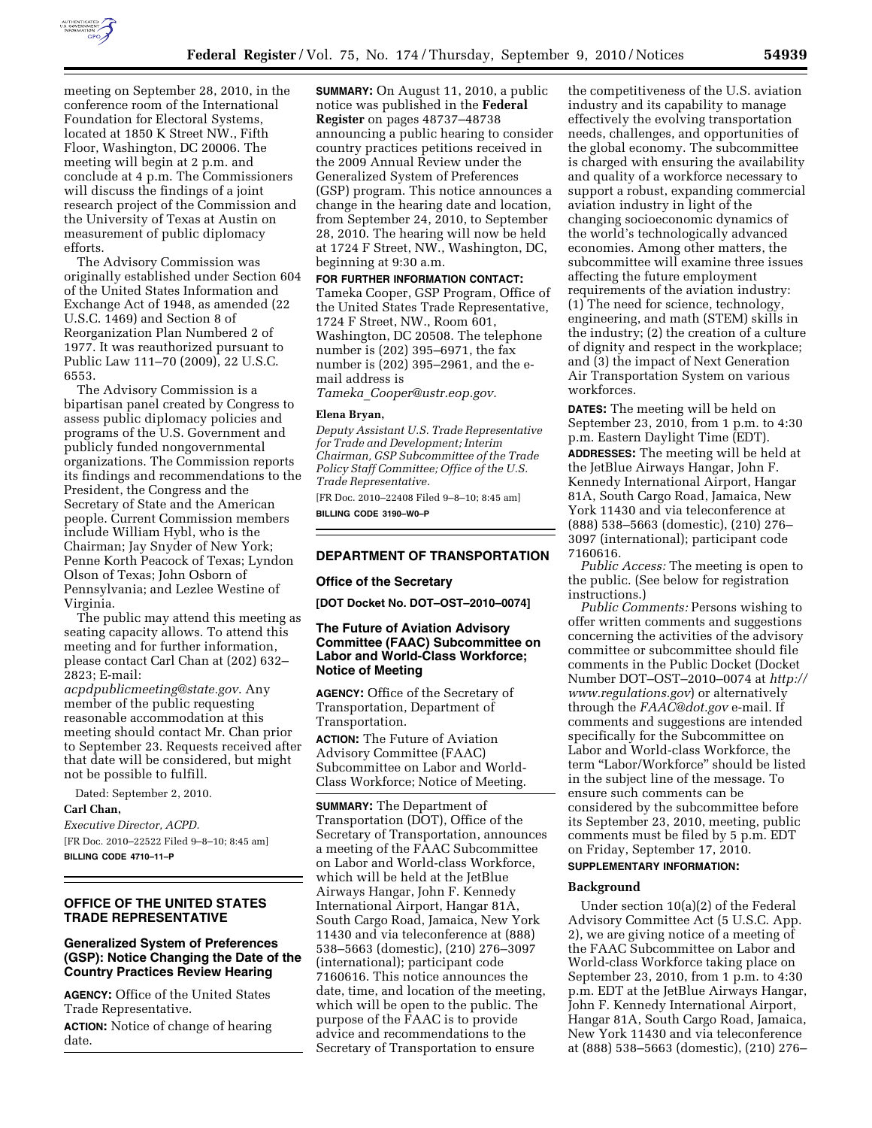

meeting on September 28, 2010, in the conference room of the International Foundation for Electoral Systems, located at 1850 K Street NW., Fifth Floor, Washington, DC 20006. The meeting will begin at 2 p.m. and conclude at 4 p.m. The Commissioners will discuss the findings of a joint research project of the Commission and the University of Texas at Austin on measurement of public diplomacy efforts.

The Advisory Commission was originally established under Section 604 of the United States Information and Exchange Act of 1948, as amended (22 U.S.C. 1469) and Section 8 of Reorganization Plan Numbered 2 of 1977. It was reauthorized pursuant to Public Law 111–70 (2009), 22 U.S.C. 6553.

The Advisory Commission is a bipartisan panel created by Congress to assess public diplomacy policies and programs of the U.S. Government and publicly funded nongovernmental organizations. The Commission reports its findings and recommendations to the President, the Congress and the Secretary of State and the American people. Current Commission members include William Hybl, who is the Chairman; Jay Snyder of New York; Penne Korth Peacock of Texas; Lyndon Olson of Texas; John Osborn of Pennsylvania; and Lezlee Westine of Virginia.

The public may attend this meeting as seating capacity allows. To attend this meeting and for further information, please contact Carl Chan at (202) 632– 2823; E-mail:

*[acpdpublicmeeting@state.gov](mailto:acpdpublicmeeting@state.gov)*. Any member of the public requesting reasonable accommodation at this meeting should contact Mr. Chan prior to September 23. Requests received after that date will be considered, but might not be possible to fulfill.

Dated: September 2, 2010.

**Carl Chan,** 

*Executive Director, ACPD.*  [FR Doc. 2010–22522 Filed 9–8–10; 8:45 am] **BILLING CODE 4710–11–P** 

# **OFFICE OF THE UNITED STATES TRADE REPRESENTATIVE**

## **Generalized System of Preferences (GSP): Notice Changing the Date of the Country Practices Review Hearing**

**AGENCY:** Office of the United States Trade Representative.

**ACTION:** Notice of change of hearing date.

**SUMMARY:** On August 11, 2010, a public notice was published in the **Federal Register** on pages 48737–48738 announcing a public hearing to consider country practices petitions received in the 2009 Annual Review under the Generalized System of Preferences (GSP) program. This notice announces a change in the hearing date and location, from September 24, 2010, to September 28, 2010. The hearing will now be held at 1724 F Street, NW., Washington, DC, beginning at 9:30 a.m.

#### **FOR FURTHER INFORMATION CONTACT:**

Tameka Cooper, GSP Program, Office of the United States Trade Representative, 1724 F Street, NW., Room 601, Washington, DC 20508. The telephone number is (202) 395–6971, the fax number is (202) 395–2961, and the email address is

*Tameka*\_*[Cooper@ustr.eop.gov.](mailto:Tameka_Cooper@ustr.eop.gov)* 

#### **Elena Bryan,**

*Deputy Assistant U.S. Trade Representative for Trade and Development; Interim Chairman, GSP Subcommittee of the Trade Policy Staff Committee; Office of the U.S. Trade Representative.* 

[FR Doc. 2010–22408 Filed 9–8–10; 8:45 am] **BILLING CODE 3190–W0–P** 

### **DEPARTMENT OF TRANSPORTATION**

#### **Office of the Secretary**

**[DOT Docket No. DOT–OST–2010–0074]** 

## **The Future of Aviation Advisory Committee (FAAC) Subcommittee on Labor and World-Class Workforce; Notice of Meeting**

**AGENCY:** Office of the Secretary of Transportation, Department of Transportation.

**ACTION:** The Future of Aviation Advisory Committee (FAAC) Subcommittee on Labor and World-Class Workforce; Notice of Meeting.

**SUMMARY:** The Department of Transportation (DOT), Office of the Secretary of Transportation, announces a meeting of the FAAC Subcommittee on Labor and World-class Workforce, which will be held at the JetBlue Airways Hangar, John F. Kennedy International Airport, Hangar 81A, South Cargo Road, Jamaica, New York 11430 and via teleconference at (888) 538–5663 (domestic), (210) 276–3097 (international); participant code 7160616. This notice announces the date, time, and location of the meeting, which will be open to the public. The purpose of the FAAC is to provide advice and recommendations to the Secretary of Transportation to ensure

the competitiveness of the U.S. aviation industry and its capability to manage effectively the evolving transportation needs, challenges, and opportunities of the global economy. The subcommittee is charged with ensuring the availability and quality of a workforce necessary to support a robust, expanding commercial aviation industry in light of the changing socioeconomic dynamics of the world's technologically advanced economies. Among other matters, the subcommittee will examine three issues affecting the future employment requirements of the aviation industry: (1) The need for science, technology, engineering, and math (STEM) skills in the industry; (2) the creation of a culture of dignity and respect in the workplace; and (3) the impact of Next Generation Air Transportation System on various workforces.

**DATES:** The meeting will be held on September 23, 2010, from 1 p.m. to 4:30 p.m. Eastern Daylight Time (EDT). **ADDRESSES:** The meeting will be held at the JetBlue Airways Hangar, John F. Kennedy International Airport, Hangar 81A, South Cargo Road, Jamaica, New York 11430 and via teleconference at (888) 538–5663 (domestic), (210) 276– 3097 (international); participant code 7160616.

*Public Access:* The meeting is open to the public. (See below for registration instructions.)

*Public Comments:* Persons wishing to offer written comments and suggestions concerning the activities of the advisory committee or subcommittee should file comments in the Public Docket (Docket Number DOT–OST–2010–0074 at *[http://](http://www.regulations.gov)  [www.regulations.gov](http://www.regulations.gov)*) or alternatively through the *[FAAC@dot.gov](mailto:FAAC@dot.gov)* e-mail. If comments and suggestions are intended specifically for the Subcommittee on Labor and World-class Workforce, the term "Labor/Workforce" should be listed in the subject line of the message. To ensure such comments can be considered by the subcommittee before its September 23, 2010, meeting, public comments must be filed by 5 p.m. EDT on Friday, September 17, 2010.

## **SUPPLEMENTARY INFORMATION:**

#### **Background**

Under section 10(a)(2) of the Federal Advisory Committee Act (5 U.S.C. App. 2), we are giving notice of a meeting of the FAAC Subcommittee on Labor and World-class Workforce taking place on September 23, 2010, from 1 p.m. to 4:30 p.m. EDT at the JetBlue Airways Hangar, John F. Kennedy International Airport, Hangar 81A, South Cargo Road, Jamaica, New York 11430 and via teleconference at (888) 538–5663 (domestic), (210) 276–